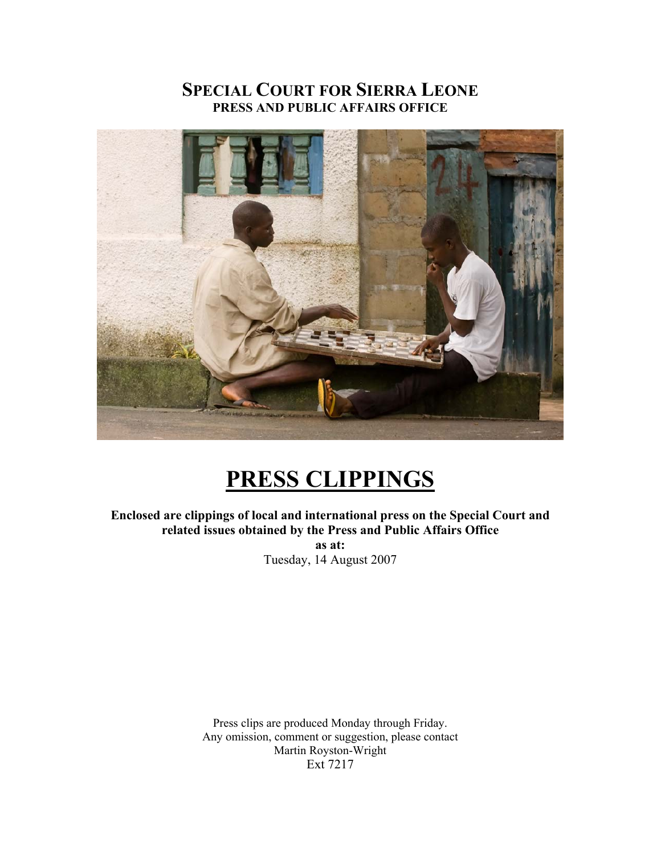# **SPECIAL COURT FOR SIERRA LEONE PRESS AND PUBLIC AFFAIRS OFFICE**



# **PRESS CLIPPINGS**

**Enclosed are clippings of local and international press on the Special Court and related issues obtained by the Press and Public Affairs Office as at:**  Tuesday, 14 August 2007

> Press clips are produced Monday through Friday. Any omission, comment or suggestion, please contact Martin Royston-Wright Ext 7217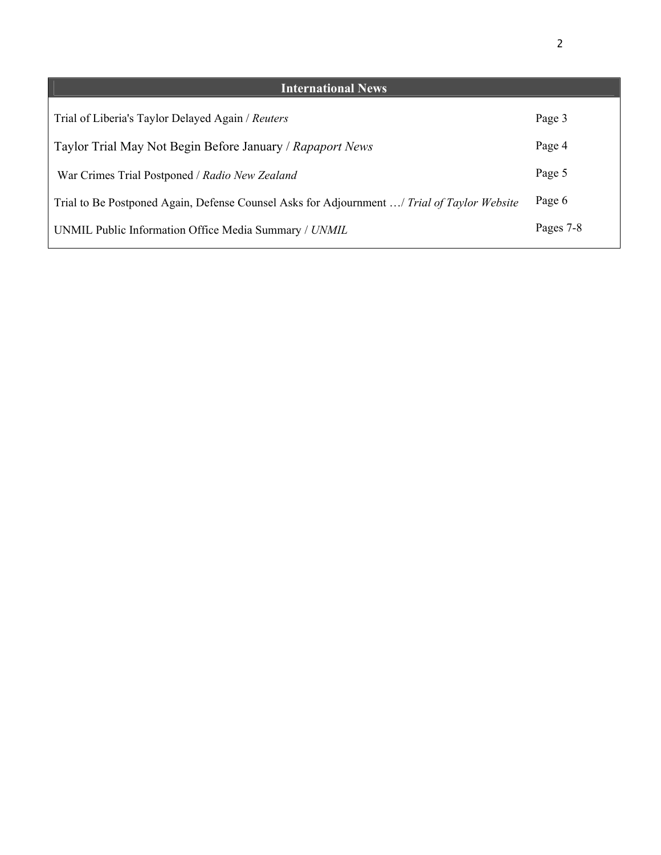| <b>International News</b>                                                                   |           |
|---------------------------------------------------------------------------------------------|-----------|
|                                                                                             |           |
| Trial of Liberia's Taylor Delayed Again / Reuters                                           | Page 3    |
|                                                                                             |           |
| Taylor Trial May Not Begin Before January / Rapaport News                                   | Page 4    |
|                                                                                             |           |
| War Crimes Trial Postponed / Radio New Zealand                                              | Page 5    |
|                                                                                             | Page 6    |
| Trial to Be Postponed Again, Defense Counsel Asks for Adjournment / Trial of Taylor Website |           |
|                                                                                             | Pages 7-8 |
| UNMIL Public Information Office Media Summary / UNMIL                                       |           |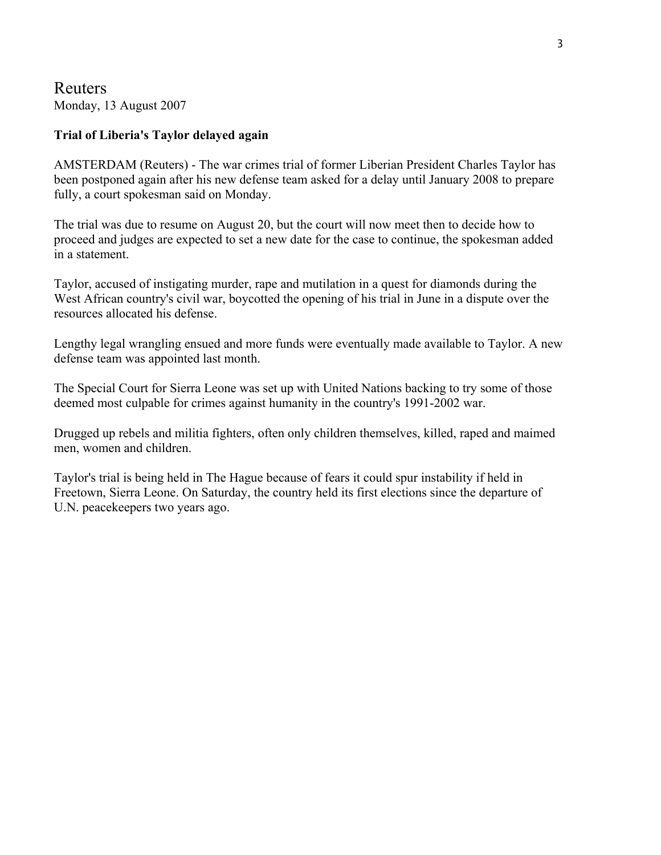Reuters Monday, 13 August 2007

#### **Trial of Liberia's Taylor delayed again**

AMSTERDAM (Reuters) - The war crimes trial of former Liberian President Charles Taylor has been postponed again after his new defense team asked for a delay until January 2008 to prepare fully, a court spokesman said on Monday.

The trial was due to resume on August 20, but the court will now meet then to decide how to proceed and judges are expected to set a new date for the case to continue, the spokesman added in a statement.

Taylor, accused of instigating murder, rape and mutilation in a quest for diamonds during the West African country's civil war, boycotted the opening of his trial in June in a dispute over the resources allocated his defense.

Lengthy legal wrangling ensued and more funds were eventually made available to Taylor. A new defense team was appointed last month.

The Special Court for Sierra Leone was set up with United Nations backing to try some of those deemed most culpable for crimes against humanity in the country's 1991-2002 war.

Drugged up rebels and militia fighters, often only children themselves, killed, raped and maimed men, women and children.

Taylor's trial is being held in The Hague because of fears it could spur instability if held in Freetown, Sierra Leone. On Saturday, the country held its first elections since the departure of U.N. peacekeepers two years ago.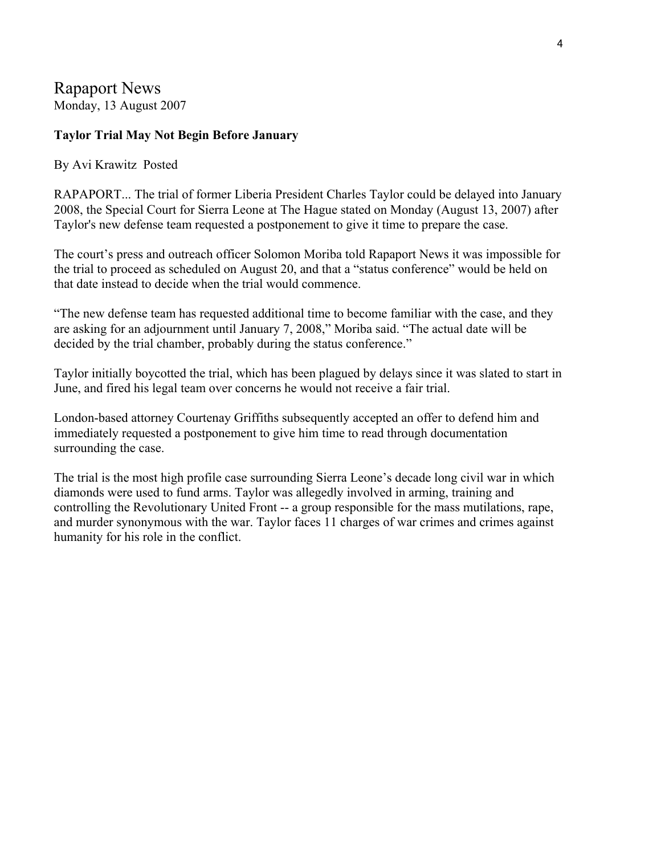## Rapaport News Monday, 13 August 2007

### **Taylor Trial May Not Begin Before January**

#### By Avi Krawitz Posted

RAPAPORT... The trial of former Liberia President Charles Taylor could be delayed into January 2008, the Special Court for Sierra Leone at The Hague stated on Monday (August 13, 2007) after Taylor's new defense team requested a postponement to give it time to prepare the case.

The court's press and outreach officer Solomon Moriba told Rapaport News it was impossible for the trial to proceed as scheduled on August 20, and that a "status conference" would be held on that date instead to decide when the trial would commence.

"The new defense team has requested additional time to become familiar with the case, and they are asking for an adjournment until January 7, 2008," Moriba said. "The actual date will be decided by the trial chamber, probably during the status conference."

Taylor initially boycotted the trial, which has been plagued by delays since it was slated to start in June, and fired his legal team over concerns he would not receive a fair trial.

London-based attorney Courtenay Griffiths subsequently accepted an offer to defend him and immediately requested a postponement to give him time to read through documentation surrounding the case.

The trial is the most high profile case surrounding Sierra Leone's decade long civil war in which diamonds were used to fund arms. Taylor was allegedly involved in arming, training and controlling the Revolutionary United Front -- a group responsible for the mass mutilations, rape, and murder synonymous with the war. Taylor faces 11 charges of war crimes and crimes against humanity for his role in the conflict.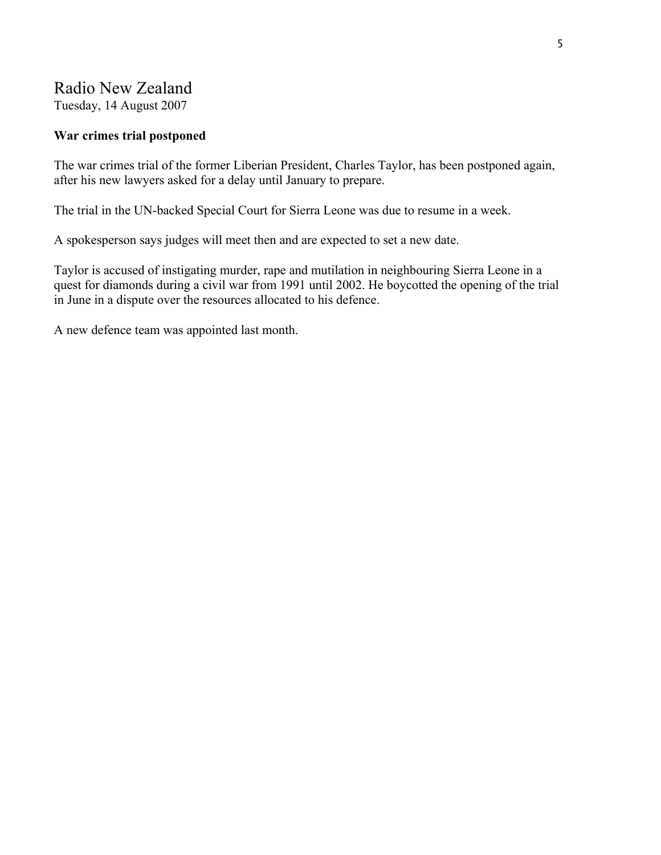# Radio New Zealand

Tuesday, 14 August 2007

## **War crimes trial postponed**

The war crimes trial of the former Liberian President, Charles Taylor, has been postponed again, after his new lawyers asked for a delay until January to prepare.

The trial in the UN-backed Special Court for Sierra Leone was due to resume in a week.

A spokesperson says judges will meet then and are expected to set a new date.

Taylor is accused of instigating murder, rape and mutilation in neighbouring Sierra Leone in a quest for diamonds during a civil war from 1991 until 2002. He boycotted the opening of the trial in June in a dispute over the resources allocated to his defence.

A new defence team was appointed last month.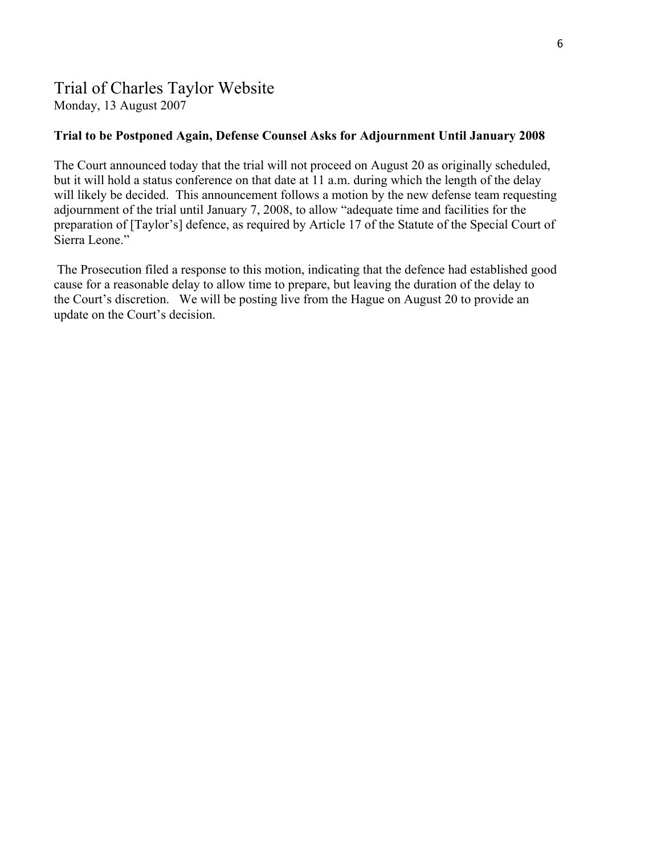# Trial of Charles Taylor Website

Monday, 13 August 2007

## **[Trial to be Postponed Again, Defense Counsel Asks for Adjournment Until January 2008](http://charlestaylortrial.org/2007/08/13/trial-to-be-postponed-again-defense-counsel-asks-for-adjournment-until-january-2008/)**

The Court announced today that the trial will not proceed on August 20 as originally scheduled, but it will hold a status conference on that date at 11 a.m. during which the length of the delay will likely be decided. This announcement follows a [motion](http://charlestaylortrial.files.wordpress.com/2007/08/d-delay.pdf) by the new defense team requesting adjournment of the trial until January 7, 2008, to allow "adequate time and facilities for the preparation of [Taylor's] defence, as required by Article 17 of the Statute of the Special Court of Sierra Leone."

 The Prosecution filed a response to this motion, indicating that the defence had established good cause for a reasonable delay to allow time to prepare, but leaving the duration of the delay to the Court's discretion. We will be posting live from the Hague on August 20 to provide an update on the Court's decision.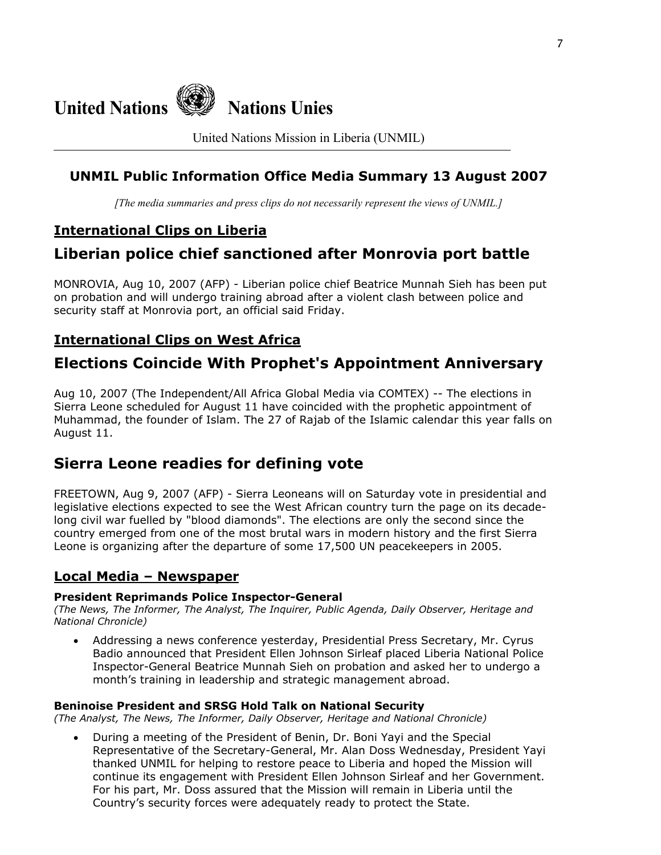

United Nations Mission in Liberia (UNMIL)

## **UNMIL Public Information Office Media Summary 13 August 2007**

*[The media summaries and press clips do not necessarily represent the views of UNMIL.]*

## **International Clips on Liberia**

# **Liberian police chief sanctioned after Monrovia port battle**

MONROVIA, Aug 10, 2007 (AFP) - Liberian police chief Beatrice Munnah Sieh has been put on probation and will undergo training abroad after a violent clash between police and security staff at Monrovia port, an official said Friday.

# **International Clips on West Africa**

# **Elections Coincide With Prophet's Appointment Anniversary**

Aug 10, 2007 (The Independent/All Africa Global Media via COMTEX) -- The elections in Sierra Leone scheduled for August 11 have coincided with the prophetic appointment of Muhammad, the founder of Islam. The 27 of Rajab of the Islamic calendar this year falls on August 11.

# **Sierra Leone readies for defining vote**

FREETOWN, Aug 9, 2007 (AFP) - Sierra Leoneans will on Saturday vote in presidential and legislative elections expected to see the West African country turn the page on its decadelong civil war fuelled by "blood diamonds". The elections are only the second since the country emerged from one of the most brutal wars in modern history and the first Sierra Leone is organizing after the departure of some 17,500 UN peacekeepers in 2005.

## **Local Media – Newspaper**

#### **President Reprimands Police Inspector-General**

*(The News, The Informer, The Analyst, The Inquirer, Public Agenda, Daily Observer, Heritage and National Chronicle)*

• Addressing a news conference yesterday, Presidential Press Secretary, Mr. Cyrus Badio announced that President Ellen Johnson Sirleaf placed Liberia National Police Inspector-General Beatrice Munnah Sieh on probation and asked her to undergo a month's training in leadership and strategic management abroad.

#### **Beninoise President and SRSG Hold Talk on National Security**

*(The Analyst, The News, The Informer, Daily Observer, Heritage and National Chronicle)* 

• During a meeting of the President of Benin, Dr. Boni Yayi and the Special Representative of the Secretary-General, Mr. Alan Doss Wednesday, President Yayi thanked UNMIL for helping to restore peace to Liberia and hoped the Mission will continue its engagement with President Ellen Johnson Sirleaf and her Government. For his part, Mr. Doss assured that the Mission will remain in Liberia until the Country's security forces were adequately ready to protect the State.